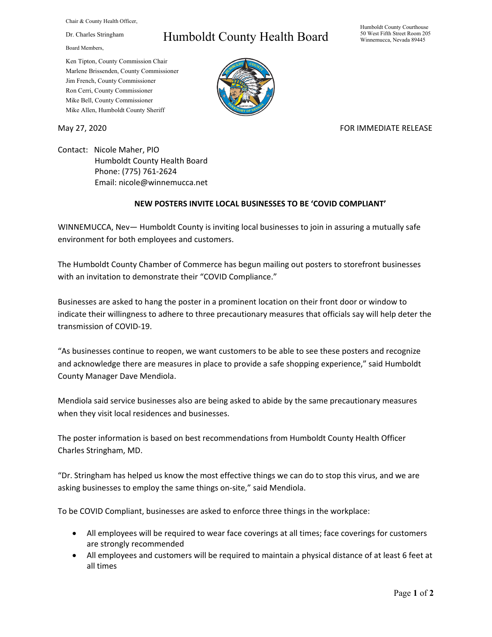Chair & County Health Officer,

Dr. Charles Stringham

Board Members,

## Humboldt County Health Board

Humboldt County Courthouse 50 West Fifth Street Room 205 Winnemucca, Nevada 89445

Ken Tipton, County Commission Chair Marlene Brissenden, County Commissioner Jim French, County Commissioner Ron Cerri, County Commissioner Mike Bell, County Commissioner Mike Allen, Humboldt County Sheriff

## May 27, 2020 **FOR IMMEDIATE RELEASE**

Contact: Nicole Maher, PIO Humboldt County Health Board Phone: (775) 761-2624 Email: nicole@winnemucca.net

## **NEW POSTERS INVITE LOCAL BUSINESSES TO BE 'COVID COMPLIANT'**

WINNEMUCCA, Nev— Humboldt County is inviting local businesses to join in assuring a mutually safe environment for both employees and customers.

The Humboldt County Chamber of Commerce has begun mailing out posters to storefront businesses with an invitation to demonstrate their "COVID Compliance."

Businesses are asked to hang the poster in a prominent location on their front door or window to indicate their willingness to adhere to three precautionary measures that officials say will help deter the transmission of COVID-19.

"As businesses continue to reopen, we want customers to be able to see these posters and recognize and acknowledge there are measures in place to provide a safe shopping experience," said Humboldt County Manager Dave Mendiola.

Mendiola said service businesses also are being asked to abide by the same precautionary measures when they visit local residences and businesses.

The poster information is based on best recommendations from Humboldt County Health Officer Charles Stringham, MD.

"Dr. Stringham has helped us know the most effective things we can do to stop this virus, and we are asking businesses to employ the same things on-site," said Mendiola.

To be COVID Compliant, businesses are asked to enforce three things in the workplace:

- All employees will be required to wear face coverings at all times; face coverings for customers are strongly recommended
- All employees and customers will be required to maintain a physical distance of at least 6 feet at all times